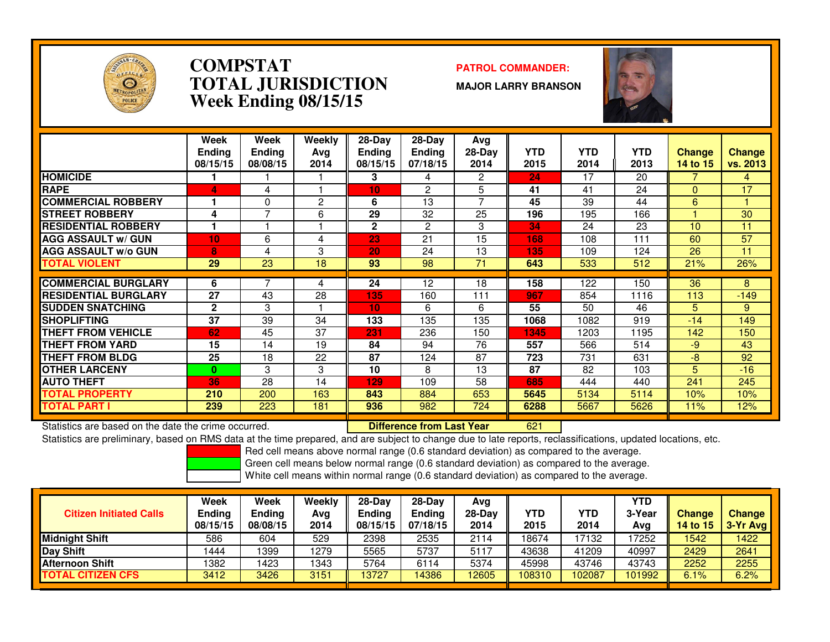

### **COMPSTAT PATROL COMMANDER: TOTAL JURISDICTIONWeek Ending 08/15/15**

**MAJOR LARRY BRANSON**



|                             | Week<br><b>Ending</b><br>08/15/15 | Week<br><b>Ending</b><br>08/08/15 | Weekly<br>Ava<br>2014 | 28-Day<br><b>Ending</b><br>08/15/15 | $28-Day$<br><b>Ending</b><br>07/18/15 | Avg<br>$28-Day$<br>2014 | YTD<br>2015 | <b>YTD</b><br>2014 | <b>YTD</b><br>2013 | <b>Change</b><br>14 to 15 | <b>Change</b><br>vs. 2013 |
|-----------------------------|-----------------------------------|-----------------------------------|-----------------------|-------------------------------------|---------------------------------------|-------------------------|-------------|--------------------|--------------------|---------------------------|---------------------------|
| <b>HOMICIDE</b>             |                                   |                                   |                       | 3                                   | 4                                     | 2                       | 24          | 17                 | 20                 |                           | 4                         |
| <b>RAPE</b>                 | 4                                 | 4                                 |                       | 10                                  | 2                                     | 5                       | 41          | 41                 | 24                 | $\Omega$                  | 17                        |
| <b>COMMERCIAL ROBBERY</b>   |                                   | $\Omega$                          | 2                     | 6                                   | 13                                    | 7                       | 45          | 39                 | 44                 | 6                         |                           |
| <b>STREET ROBBERY</b>       | 4                                 | 7                                 | 6                     | 29                                  | 32                                    | 25                      | 196         | 195                | 166                |                           | 30                        |
| <b>RESIDENTIAL ROBBERY</b>  |                                   |                                   |                       | $\mathbf{2}$                        | 2                                     | 3                       | 34          | 24                 | 23                 | 10                        | 11                        |
| <b>AGG ASSAULT w/ GUN</b>   | 10                                | 6                                 | 4                     | 23                                  | 21                                    | 15                      | 168         | 108                | 111                | 60                        | 57                        |
| <b>AGG ASSAULT w/o GUN</b>  | 8                                 | 4                                 | 3                     | 20                                  | 24                                    | 13                      | 135         | 109                | 124                | 26                        | 11                        |
| TOTAL VIOLENT               | 29                                | 23                                | 18                    | 93                                  | 98                                    | 71                      | 643         | 533                | 512                | 21%                       | 26%                       |
|                             |                                   |                                   |                       |                                     |                                       |                         |             |                    |                    |                           |                           |
| <b>COMMERCIAL BURGLARY</b>  | 6                                 | 7                                 | 4                     | 24                                  | 12                                    | 18                      | 158         | 122                | 150                | 36                        | 8                         |
| <b>RESIDENTIAL BURGLARY</b> | 27                                | 43                                | 28                    | 135                                 | 160                                   | 111                     | 967         | 854                | 1116               | 113                       | $-149$                    |
| <b>SUDDEN SNATCHING</b>     | $\mathbf{2}$                      | 3                                 |                       | 10                                  | 6                                     | 6                       | 55          | 50                 | 46                 | 5.                        | 9                         |
| <b>SHOPLIFTING</b>          | 37                                | 39                                | 34                    | 133                                 | 135                                   | 135                     | 1068        | 1082               | 919                | $-14$                     | 149                       |
| THEFT FROM VEHICLE          | 62                                | 45                                | 37                    | 231                                 | 236                                   | 150                     | 1345        | 1203               | 1195               | 142                       | 150                       |
| <b>THEFT FROM YARD</b>      | 15                                | 14                                | 19                    | 84                                  | 94                                    | 76                      | 557         | 566                | 514                | $-9$                      | 43                        |
| THEFT FROM BLDG             | 25                                | 18                                | 22                    | 87                                  | 124                                   | 87                      | 723         | 731                | 631                | $-8$                      | 92                        |
| <b>OTHER LARCENY</b>        | $\bf{0}$                          | 3                                 | 3                     | 10                                  | 8                                     | 13                      | 87          | 82                 | 103                | 5.                        | $-16$                     |
| <b>AUTO THEFT</b>           | 36                                | 28                                | 14                    | 129                                 | 109                                   | 58                      | 685         | 444                | 440                | 241                       | 245                       |
| TOTAL PROPERTY              | 210                               | 200                               | 163                   | 843                                 | 884                                   | 653                     | 5645        | 5134               | 5114               | 10%                       | 10%                       |
| TOTAL PART I                | 239                               | 223                               | 181                   | 936                                 | 982                                   | 724                     | 6288        | 5667               | 5626               | 11%                       | 12%                       |

Statistics are based on the date the crime occurred. **Difference from Last Year** 

<sup>621</sup>

 Statistics are preliminary, based on RMS data at the time prepared, and are subject to change due to late reports, reclassifications, updated locations, etc.Red cell means above normal range (0.6 standard deviation) as compared to the average.

Green cell means below normal range (0.6 standard deviation) as compared to the average.

|                                | Week                      | <b>Week</b>        | Weekly      | 28-Dav             | $28-Dav$                  | Avg              |                    |                    | YTD           |                           |                      |
|--------------------------------|---------------------------|--------------------|-------------|--------------------|---------------------------|------------------|--------------------|--------------------|---------------|---------------------------|----------------------|
| <b>Citizen Initiated Calls</b> | <b>Ending</b><br>08/15/15 | Ending<br>08/08/15 | Avg<br>2014 | Ending<br>08/15/15 | <b>Ending</b><br>07/18/15 | $28-Day$<br>2014 | <b>YTD</b><br>2015 | <b>YTD</b><br>2014 | 3-Year<br>Avg | <b>Change</b><br>14 to 15 | Change<br>$3-Yr$ Avg |
| <b>Midnight Shift</b>          | 586                       | 604                | 529         | 2398               | 2535                      | 2114             | 18674              | 17132              | 17252         | 1542                      | 1422                 |
| Day Shift                      | 1444                      | 399                | 1279        | 5565               | 5737                      | 5117             | 43638              | 41209              | 40997         | 2429                      | 2641                 |
| <b>Afternoon Shift</b>         | 1382                      | 423                | 1343        | 5764               | 6114                      | 5374             | 45998              | 43746              | 43743         | 2252                      | 2255                 |
| <b>TOTAL CITIZEN CFS</b>       | 3412                      | 3426               | 3151        | 13727              | 14386                     | 12605            | 108310             | 102087             | 101992        | 6.1%                      | 6.2%                 |
|                                |                           |                    |             |                    |                           |                  |                    |                    |               |                           |                      |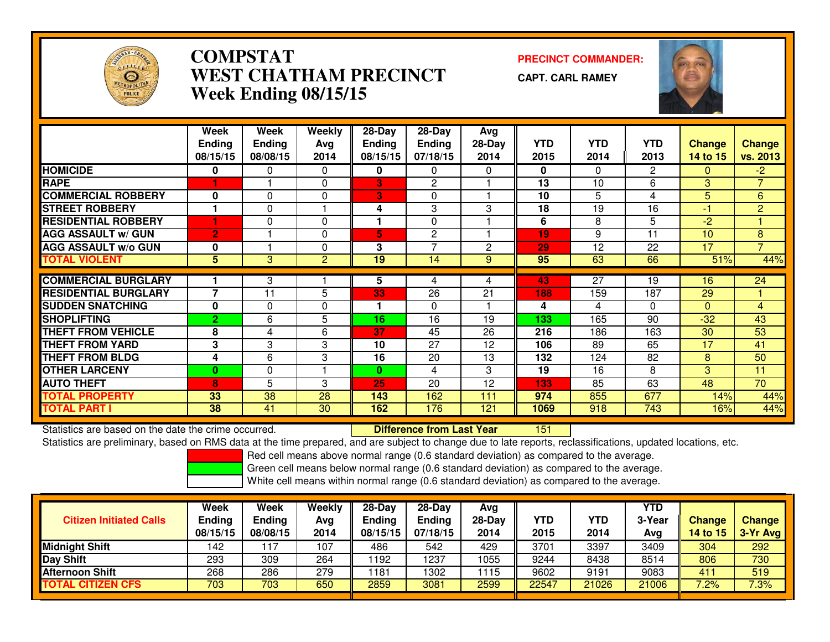

# **COMPSTAT PRECINCT COMMANDER: WEST CHATHAM PRECINCTWeek Ending 08/15/15**

**CAPT. CARL RAMEY**

<sup>151</sup>



|                             | Week<br><b>Ending</b><br>08/15/15 | Week<br><b>Ending</b><br>08/08/15 | Weekly<br>Ava<br>2014 | 28-Day<br><b>Ending</b><br>08/15/15 | 28-Day<br><b>Ending</b><br>07/18/15 | Avg<br>$28-Day$<br>2014 | <b>YTD</b><br>2015 | <b>YTD</b><br>2014 | <b>YTD</b><br>2013 | <b>Change</b><br>14 to 15 | <b>Change</b><br>vs. 2013 |
|-----------------------------|-----------------------------------|-----------------------------------|-----------------------|-------------------------------------|-------------------------------------|-------------------------|--------------------|--------------------|--------------------|---------------------------|---------------------------|
| <b>HOMICIDE</b>             | 0                                 | 0                                 | 0                     | 0                                   | 0                                   | 0                       | 0                  | $\Omega$           | 2                  | $\Omega$                  | $-2$                      |
| <b>RAPE</b>                 |                                   |                                   | 0                     | 3                                   | 2                                   |                         | 13                 | 10                 | 6                  | 3                         | $\overline{7}$            |
| <b>COMMERCIAL ROBBERY</b>   | 0                                 | 0                                 | 0                     | 3                                   | $\Omega$                            |                         | 10                 | 5.                 | 4                  | 5                         | 6                         |
| <b>STREET ROBBERY</b>       | 1                                 | 0                                 |                       | 4                                   | 3                                   | 3                       | 18                 | 19                 | 16                 | -1                        | $\overline{2}$            |
| <b>RESIDENTIAL ROBBERY</b>  |                                   | 0                                 | 0                     |                                     | $\Omega$                            |                         | 6                  | 8                  | 5                  | $-2$                      |                           |
| <b>AGG ASSAULT w/ GUN</b>   | $\overline{2}$                    |                                   | 0                     | 5                                   | 2                                   |                         | 19                 | 9                  | 11                 | 10                        | 8                         |
| <b>AGG ASSAULT w/o GUN</b>  | 0                                 |                                   | 0                     | 3                                   | $\overline{7}$                      | $\mathbf{2}$            | 29                 | 12                 | 22                 | 17                        | $\overline{7}$            |
| <b>TOTAL VIOLENT</b>        | 5                                 | 3                                 | 2                     | 19                                  | 14                                  | 9                       | 95                 | 63                 | 66                 | 51%                       | 44%                       |
|                             |                                   |                                   |                       |                                     |                                     |                         |                    |                    |                    |                           |                           |
| <b>COMMERCIAL BURGLARY</b>  |                                   | 3                                 |                       | 5                                   | 4                                   | 4                       | 43                 | $\overline{27}$    | 19                 | 16                        | 24                        |
| <b>RESIDENTIAL BURGLARY</b> | $\overline{7}$                    | 11                                | 5                     | 33                                  | 26                                  | 21                      | 188                | 159                | 187                | 29                        |                           |
| <b>SUDDEN SNATCHING</b>     | $\bf{0}$                          | 0                                 | 0                     |                                     | $\Omega$                            |                         | 4                  | 4                  | $\Omega$           | $\Omega$                  | 4                         |
| <b>SHOPLIFTING</b>          | 2                                 | 6                                 | 5                     | 16                                  | 16                                  | 19                      | 133                | 165                | 90                 | $-32$                     | 43                        |
| <b>THEFT FROM VEHICLE</b>   | 8                                 | 4                                 | 6                     | 37                                  | 45                                  | 26                      | 216                | 186                | 163                | 30                        | 53                        |
| <b>THEFT FROM YARD</b>      | 3                                 | 3                                 | 3                     | 10                                  | 27                                  | 12                      | 106                | 89                 | 65                 | 17                        | 41                        |
| <b>THEFT FROM BLDG</b>      | 4                                 | 6                                 | 3                     | 16                                  | 20                                  | 13                      | 132                | 124                | 82                 | 8                         | 50                        |
| <b>OTHER LARCENY</b>        | 0                                 | 0                                 |                       | $\bf{0}$                            | 4                                   | 3                       | 19                 | 16                 | 8                  | 3                         | 11                        |
| <b>AUTO THEFT</b>           | 8                                 | 5                                 | 3                     | 25                                  | 20                                  | 12                      | 133                | 85                 | 63                 | 48                        | 70                        |
| <b>TOTAL PROPERTY</b>       | 33                                | 38                                | 28                    | 143                                 | 162                                 | 111                     | 974                | 855                | 677                | 14%                       | 44%                       |
| <b>TOTAL PART I</b>         | 38                                | 41                                | 30                    | 162                                 | 176                                 | 121                     | 1069               | 918                | 743                | 16%                       | 44%                       |

Statistics are based on the date the crime occurred. **Difference from Last Year** 

Statistics are preliminary, based on RMS data at the time prepared, and are subject to change due to late reports, reclassifications, updated locations, etc.

Red cell means above normal range (0.6 standard deviation) as compared to the average.

Green cell means below normal range (0.6 standard deviation) as compared to the average.

| <b>Citizen Initiated Calls</b> | Week<br><b>Ending</b><br>08/15/15 | <b>Week</b><br><b>Ending</b><br>08/08/15 | Weekly<br>Avg<br>2014 | $28-Dav$<br>Ending<br>08/15/15 | $28-Dav$<br>Ending<br>07/18/15 | Ava<br>$28-Day$<br>2014 | YTD<br>2015 | <b>YTD</b><br>2014 | YTD<br>3-Year<br>Avg | <b>Change</b><br>14 to 15 | Change<br>3-Yr Avg |
|--------------------------------|-----------------------------------|------------------------------------------|-----------------------|--------------------------------|--------------------------------|-------------------------|-------------|--------------------|----------------------|---------------------------|--------------------|
| <b>Midnight Shift</b>          | 142                               | 17                                       | 107                   | 486                            | 542                            | 429                     | 3701        | 3397               | 3409                 | 304                       | 292                |
| <b>Day Shift</b>               | 293                               | 309                                      | 264                   | 1192                           | 237                            | 1055                    | 9244        | 8438               | 8514                 | 806                       | 730                |
| <b>Afternoon Shift</b>         | 268                               | 286                                      | 279                   | 1181                           | 302                            | 1115                    | 9602        | 9191               | 9083                 | 411                       | 519                |
| <b>TOTAL CITIZEN CFS</b>       | 703                               | 703                                      | 650                   | 2859                           | 3081                           | 2599                    | 22547       | 21026              | 21006                | 7.2%                      | 7.3%               |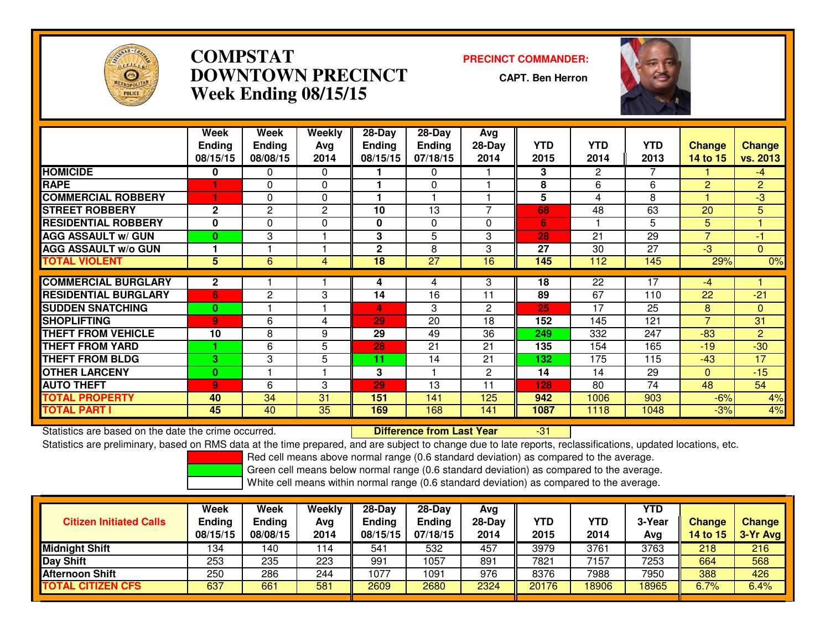

# **COMPSTAT PRECINCT COMMANDER: DOWNTOWN PRECINCTWeek Ending 08/15/15**

**CAPT. Ben Herron**

-31



|                             | Week           | Week          | Weekly   | 28-Day          | 28-Day        | Avg                      |            |                |            |                          |                |
|-----------------------------|----------------|---------------|----------|-----------------|---------------|--------------------------|------------|----------------|------------|--------------------------|----------------|
|                             | <b>Ending</b>  | <b>Ending</b> | Avg      | <b>Ending</b>   | <b>Ending</b> | 28-Day                   | <b>YTD</b> | <b>YTD</b>     | <b>YTD</b> | <b>Change</b>            | <b>Change</b>  |
|                             | 08/15/15       | 08/08/15      | 2014     | 08/15/15        | 07/18/15      | 2014                     | 2015       | 2014           | 2013       | 14 to 15                 | vs. 2013       |
| <b>HOMICIDE</b>             | 0              | 0             | $\Omega$ |                 | 0             |                          | 3          | $\overline{2}$ |            |                          | $-4$           |
| <b>RAPE</b>                 |                | $\mathbf{0}$  | 0        |                 | $\Omega$      |                          | 8          | 6              | 6          | $\overline{2}$           | $\overline{2}$ |
| <b>COMMERCIAL ROBBERY</b>   |                | $\Omega$      | $\Omega$ |                 |               |                          | 5          | 4              | 8          |                          | $\overline{3}$ |
| <b>STREET ROBBERY</b>       | $\mathbf{2}$   | 2             | 2        | 10              | 13            | $\overline{\phantom{0}}$ | 68         | 48             | 63         | 20                       | 5              |
| <b>RESIDENTIAL ROBBERY</b>  | $\bf{0}$       | $\Omega$      | 0        | 0               | $\Omega$      | $\Omega$                 | 6          |                | 5          | 5.                       |                |
| <b>AGG ASSAULT w/ GUN</b>   | $\bf{0}$       | 3             |          | 3               | 5             | 3                        | 28         | 21             | 29         | $\overline{\phantom{a}}$ | $-1$           |
| <b>AGG ASSAULT w/o GUN</b>  |                |               |          | $\mathbf{2}$    | 8             | 3                        | 27         | 30             | 27         | $-3$                     | $\Omega$       |
| <b>TOTAL VIOLENT</b>        | 5              | 6             | 4        | $\overline{18}$ | 27            | 16                       | 145        | 112            | 145        | 29%                      | 0%             |
|                             |                |               |          |                 |               |                          |            |                | 17         |                          |                |
| <b>COMMERCIAL BURGLARY</b>  | 2              |               |          | 4               | 4             | 3                        | 18         | 22             |            | $-4$                     |                |
| <b>RESIDENTIAL BURGLARY</b> | 6              | 2             | 3        | 14              | 16            | 11                       | 89         | 67             | 110        | 22                       | $-21$          |
| <b>SUDDEN SNATCHING</b>     | $\bf{0}$       |               |          | 4               | 3             | $\overline{2}$           | 25         | 17             | 25         | 8                        | $\Omega$       |
| <b>SHOPLIFTING</b>          | $\overline{9}$ | 6             | 4        | 29              | 20            | 18                       | 152        | 145            | 121        | $\overline{\phantom{a}}$ | 31             |
| <b>THEFT FROM VEHICLE</b>   | 10             | 8             | 9        | 29              | 49            | 36                       | 249        | 332            | 247        | $-83$                    | $\overline{2}$ |
| <b>THEFT FROM YARD</b>      |                | 6             | 5        | 28              | 21            | 21                       | 135        | 154            | 165        | $-19$                    | $-30$          |
| <b>THEFT FROM BLDG</b>      | 3              | 3             | 5        | 11              | 14            | 21                       | 132        | 175            | 115        | $-43$                    | 17             |
| <b>OTHER LARCENY</b>        | $\bf{0}$       |               |          | 3               |               | 2                        | 14         | 14             | 29         | $\mathbf{0}$             | $-15$          |
| <b>AUTO THEFT</b>           | $\overline{9}$ | 6             | 3        | 29              | 13            | 11                       | 128        | 80             | 74         | 48                       | 54             |
| <b>TOTAL PROPERTY</b>       | 40             | 34            | 31       | 151             | 141           | 125                      | 942        | 1006           | 903        | $-6%$                    | 4%             |
| TOTAL PART I                | 45             | 40            | 35       | 169             | 168           | 141                      | 1087       | 1118           | 1048       | $-3%$                    | 4%             |

Statistics are based on the date the crime occurred. **Difference from Last Year** 

Statistics are preliminary, based on RMS data at the time prepared, and are subject to change due to late reports, reclassifications, updated locations, etc.

Red cell means above normal range (0.6 standard deviation) as compared to the average.

Green cell means below normal range (0.6 standard deviation) as compared to the average.

| <b>Citizen Initiated Calls</b> | Week<br><b>Ending</b><br>08/15/15 | Week<br><b>Ending</b><br>08/08/15 | Weekly<br>Avg<br>2014 | $28-Dav$<br>Ending<br>08/15/15 | $28-Dav$<br><b>Ending</b><br>07/18/15 | Avg<br>$28-Day$<br>2014 | YTD<br>2015 | <b>YTD</b><br>2014 | YTD<br>3-Year<br>Avg | <b>Change</b><br><b>14 to 15</b> | <b>Change</b><br>$3-Yr$ Avg |
|--------------------------------|-----------------------------------|-----------------------------------|-----------------------|--------------------------------|---------------------------------------|-------------------------|-------------|--------------------|----------------------|----------------------------------|-----------------------------|
| <b>Midnight Shift</b>          | 134                               | 140                               | 114                   | 541                            | 532                                   | 457                     | 3979        | 3761               | 3763                 | 218                              | 216                         |
| <b>Day Shift</b>               | 253                               | 235                               | 223                   | 991                            | 1057                                  | 891                     | 7821        | 7157               | 7253                 | 664                              | 568                         |
| <b>Afternoon Shift</b>         | 250                               | 286                               | 244                   | 1077                           | 1091                                  | 976                     | 8376        | 7988               | 7950                 | 388                              | 426                         |
| <b>TOTAL CITIZEN CFS</b>       | 637                               | 661                               | 581                   | 2609                           | 2680                                  | 2324                    | 20176       | 8906               | 18965                | 6.7%                             | 6.4%                        |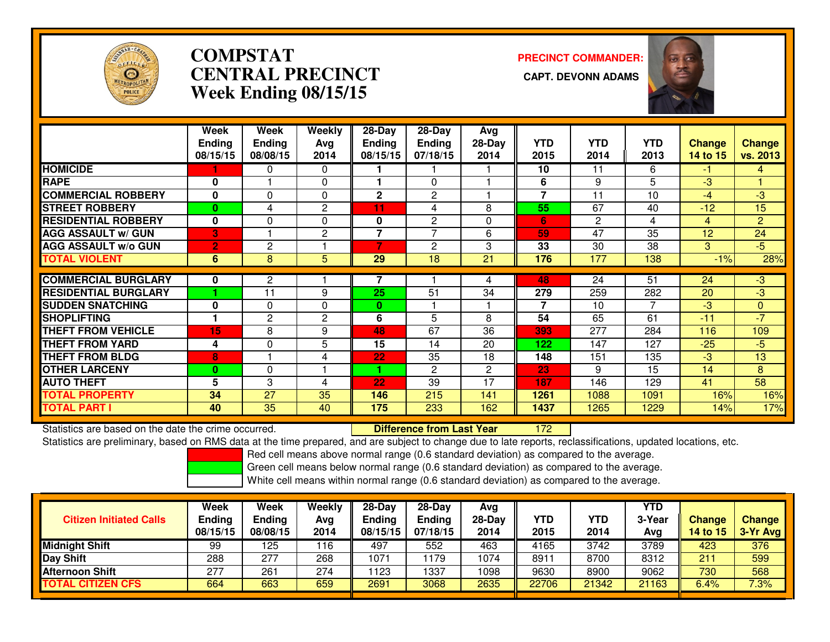

# **COMPSTATCENTRAL PRECINCT Week Ending 08/15/15**

**PRECINCT COMMANDER:**



|                             | Week<br><b>Ending</b><br>08/15/15 | Week<br>Ending<br>08/08/15 | Weekly<br>Avg<br>2014 | 28-Day<br><b>Ending</b><br>08/15/15 | 28-Day<br><b>Ending</b><br>07/18/15 | Avg<br>28-Day<br>2014 | <b>YTD</b><br>2015       | <b>YTD</b><br>2014 | <b>YTD</b><br>2013 | <b>Change</b><br>14 to 15 | <b>Change</b><br>vs. 2013 |
|-----------------------------|-----------------------------------|----------------------------|-----------------------|-------------------------------------|-------------------------------------|-----------------------|--------------------------|--------------------|--------------------|---------------------------|---------------------------|
| <b>HOMICIDE</b>             |                                   | 0                          | 0                     |                                     |                                     |                       | 10                       | 11                 | 6                  | -1                        | 4                         |
| <b>RAPE</b>                 | 0                                 |                            | $\Omega$              |                                     | $\Omega$                            |                       | 6                        | 9                  | 5                  | $-3$                      |                           |
| <b>COMMERCIAL ROBBERY</b>   | 0                                 | 0                          | 0                     | $\mathbf{2}$                        | $\overline{2}$                      |                       | $\overline{7}$           | 11                 | 10                 | $-4$                      | -3                        |
| <b>STREET ROBBERY</b>       | $\bf{0}$                          | 4                          | 2                     | 11                                  | 4                                   | 8                     | 55                       | 67                 | 40                 | $-12$                     | 15                        |
| <b>RESIDENTIAL ROBBERY</b>  | $\bf{0}$                          | 0                          | $\Omega$              | 0                                   | $\overline{c}$                      | $\Omega$              | 6                        | $\overline{2}$     | 4                  | 4                         | $\overline{2}$            |
| <b>AGG ASSAULT w/ GUN</b>   | 3                                 |                            | 2                     | 7                                   | $\overline{ }$                      | 6                     | 59                       | 47                 | 35                 | 12                        | 24                        |
| <b>AGG ASSAULT w/o GUN</b>  | 2                                 | 2                          |                       |                                     | 2                                   | 3                     | 33                       | 30                 | 38                 | 3                         | $-5$                      |
| <b>TOTAL VIOLENT</b>        | 6                                 | 8                          | 5                     | 29                                  | 18                                  | 21                    | 176                      | 177                | 138                | $-1%$                     | 28%                       |
|                             |                                   |                            |                       |                                     |                                     |                       |                          |                    |                    |                           |                           |
| <b>COMMERCIAL BURGLARY</b>  | 0                                 | $\mathbf{2}$               |                       |                                     |                                     | 4                     | 48                       | 24                 | 51                 | 24                        | $-3$                      |
| <b>RESIDENTIAL BURGLARY</b> |                                   | 11                         | 9                     | 25                                  | 51                                  | 34                    | 279                      | 259                | 282                | 20                        | $-3$                      |
| <b>ISUDDEN SNATCHING</b>    | 0                                 | 0                          | $\Omega$              | $\bf{0}$                            |                                     |                       | $\overline{\phantom{a}}$ | 10                 | 7                  | $-3$                      | $\mathbf{0}$              |
| <b>SHOPLIFTING</b>          | 1                                 | $\mathbf{2}$               | 2                     | 6                                   | 5                                   | 8                     | 54                       | 65                 | 61                 | $-11$                     | $-7$                      |
| <b>THEFT FROM VEHICLE</b>   | 15                                | 8                          | 9                     | 48                                  | 67                                  | 36                    | 393                      | 277                | 284                | 116                       | 109                       |
| <b>THEFT FROM YARD</b>      | 4                                 | 0                          | 5                     | 15                                  | 14                                  | 20                    | 122                      | 147                | 127                | $-25$                     | -5                        |
| <b>THEFT FROM BLDG</b>      | 8                                 |                            | 4                     | 22                                  | 35                                  | 18                    | 148                      | 151                | 135                | $-3$                      | 13                        |
| <b>OTHER LARCENY</b>        | $\bf{0}$                          | 0                          |                       | 4                                   | $\overline{c}$                      | $\overline{2}$        | 23                       | 9                  | 15                 | 14                        | 8                         |
| <b>AUTO THEFT</b>           | 5                                 | 3                          | 4                     | 22                                  | 39                                  | 17                    | 187                      | 146                | 129                | 41                        | 58                        |
| <b>TOTAL PROPERTY</b>       | 34                                | 27                         | 35                    | 146                                 | 215                                 | 141                   | 1261                     | 1088               | 1091               | 16%                       | 16%                       |
| <b>TOTAL PART I</b>         | 40                                | 35                         | 40                    | 175                                 | 233                                 | 162                   | 1437                     | 1265               | 1229               | 14%                       | 17%                       |

Statistics are based on the date the crime occurred. **Difference from Last Year** 

<sup>172</sup>

Statistics are preliminary, based on RMS data at the time prepared, and are subject to change due to late reports, reclassifications, updated locations, etc.

Red cell means above normal range (0.6 standard deviation) as compared to the average.

Green cell means below normal range (0.6 standard deviation) as compared to the average.

| <b>Citizen Initiated Calls</b> | Week<br><b>Ending</b><br>08/15/15 | Week<br><b>Ending</b><br>08/08/15 | Weekly<br>Avg<br>2014 | $28-Dav$<br><b>Ending</b><br>08/15/15 | $28-Day$<br><b>Ending</b><br>07/18/15 | Avg<br>28-Day<br>2014 | YTD<br>2015 | <b>YTD</b><br>2014 | YTD<br>3-Year<br>Avg | <b>Change</b><br>14 to 15 | <b>Change</b><br>3-Yr Avg |
|--------------------------------|-----------------------------------|-----------------------------------|-----------------------|---------------------------------------|---------------------------------------|-----------------------|-------------|--------------------|----------------------|---------------------------|---------------------------|
| <b>Midnight Shift</b>          | 99                                | 125                               | 116                   | 497                                   | 552                                   | 463                   | 4165        | 3742               | 3789                 | 423                       | 376                       |
| <b>Day Shift</b>               | 288                               | 277                               | 268                   | 1071                                  | 1179                                  | 1074                  | 8911        | 8700               | 8312                 | 211                       | 599                       |
| Afternoon Shift                | 277                               | 261                               | 274                   | 123                                   | 1337                                  | 1098                  | 9630        | 8900               | 9062                 | 730                       | 568                       |
| <b>TOTAL CITIZEN CFS</b>       | 664                               | 663                               | 659                   | 2691                                  | 3068                                  | 2635                  | 22706       | 21342              | 21163                | 6.4%                      | 7.3%                      |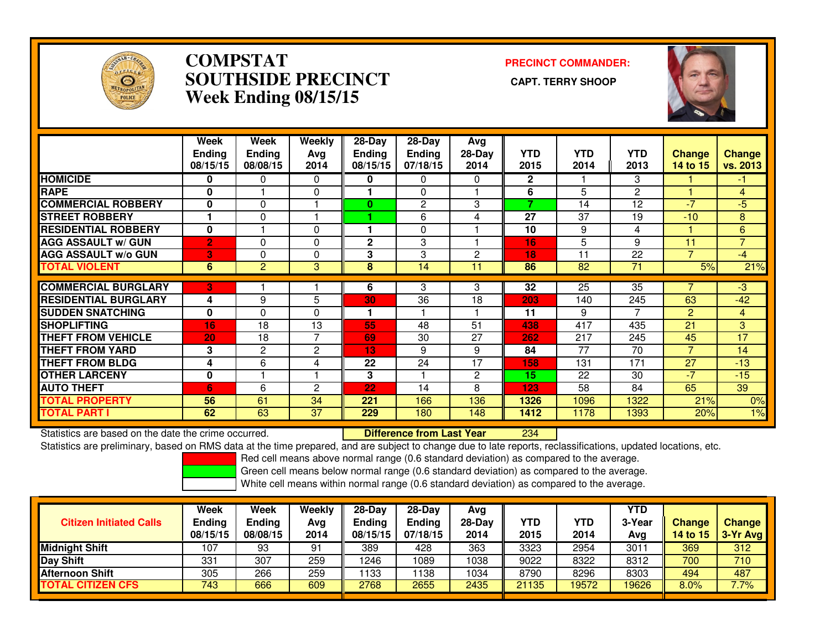

### **COMPSTAT PRECINCT COMMANDER: SOUTHSIDE PRECINCT CAPT. TERRY SHOOPWeek Ending 08/15/15**



|                             | Week<br>Ending<br>08/15/15 | Week<br><b>Ending</b><br>08/08/15 | Weekly<br>Ava<br>2014 | $28-Day$<br><b>Ending</b><br>08/15/15 | $28$ -Day<br><b>Ending</b><br>07/18/15 | Avg<br>$28-Day$<br>2014 | <b>YTD</b><br>2015       | <b>YTD</b><br>2014 | <b>YTD</b><br>2013 | <b>Change</b><br>14 to 15 | Change<br>vs. 2013 |
|-----------------------------|----------------------------|-----------------------------------|-----------------------|---------------------------------------|----------------------------------------|-------------------------|--------------------------|--------------------|--------------------|---------------------------|--------------------|
| <b>HOMICIDE</b>             | 0                          | 0                                 | $\Omega$              | 0                                     | $\Omega$                               | $\Omega$                | $\mathbf{2}$             |                    | 3                  |                           | -1                 |
| <b>RAPE</b>                 | $\bf{0}$                   |                                   | $\Omega$              |                                       | 0                                      |                         | 6                        | 5                  | $\overline{c}$     |                           | 4                  |
| <b>COMMERCIAL ROBBERY</b>   | $\bf{0}$                   | $\Omega$                          |                       | 0                                     | $\overline{2}$                         | 3                       | $\overline{\phantom{a}}$ | 14                 | 12                 | $-7$                      | -5                 |
| <b>STREET ROBBERY</b>       |                            | $\Omega$                          |                       |                                       | 6                                      | 4                       | 27                       | 37                 | 19                 | $-10$                     | 8                  |
| <b>RESIDENTIAL ROBBERY</b>  | $\mathbf{0}$               |                                   | $\Omega$              | 1                                     | $\Omega$                               |                         | 10                       | 9                  | 4                  |                           | 6                  |
| <b>AGG ASSAULT w/ GUN</b>   | $\overline{2}$             | 0                                 | 0                     | $\overline{2}$                        | 3                                      |                         | 16                       | 5                  | 9                  | 11                        | $\overline{7}$     |
| <b>AGG ASSAULT w/o GUN</b>  | 3                          | 0                                 | $\Omega$              | 3                                     | 3                                      | 2                       | 18                       | 11                 | 22                 | $\overline{ }$            | $-4$               |
| <b>TOTAL VIOLENT</b>        | 6                          | 2                                 | 3                     | 8                                     | 14                                     | 11                      | 86                       | 82                 | 71                 | 5%                        | 21%                |
| <b>COMMERCIAL BURGLARY</b>  | 3                          |                                   |                       | 6                                     | 3                                      | 3                       | 32                       | 25                 | 35                 |                           | $-3$               |
|                             |                            |                                   |                       |                                       |                                        |                         |                          |                    |                    |                           |                    |
| <b>RESIDENTIAL BURGLARY</b> | 4                          | 9                                 | 5                     | 30                                    | 36                                     | 18                      | 203                      | 140                | $\overline{245}$   | 63                        | $-42$              |
| <b>SUDDEN SNATCHING</b>     | $\bf{0}$                   | $\Omega$                          | $\Omega$              | 1                                     |                                        |                         | 11                       | 9                  | 7                  | $\overline{2}$            | 4                  |
| <b>SHOPLIFTING</b>          | 16                         | 18                                | 13                    | 55                                    | 48                                     | 51                      | 438                      | 417                | 435                | 21                        | 3                  |
| <b>THEFT FROM VEHICLE</b>   | 20                         | 18                                | 7                     | 69                                    | 30                                     | 27                      | 262                      | 217                | 245                | 45                        | 17                 |
| <b>THEFT FROM YARD</b>      | 3                          | $\overline{2}$                    | 2                     | 13                                    | 9                                      | 9                       | 84                       | 77                 | 70                 | $\overline{ }$            | 14                 |
| <b>THEFT FROM BLDG</b>      | 4                          | 6                                 | 4                     | 22                                    | 24                                     | 17                      | 158                      | 131                | 171                | 27                        | $-13$              |
| <b>OTHER LARCENY</b>        | $\mathbf 0$                |                                   |                       | 3                                     |                                        | 2                       | 15                       | 22                 | 30                 | $-7$                      | $-15$              |
| <b>AUTO THEFT</b>           | 6                          | 6                                 | 2                     | 22                                    | 14                                     | 8                       | 123                      | 58                 | 84                 | 65                        | 39                 |
| <b>TOTAL PROPERTY</b>       | 56                         | 61                                | 34                    | 221                                   | 166                                    | 136                     | 1326                     | 1096               | 1322               | 21%                       | 0%                 |
| <b>TOTAL PART I</b>         | 62                         | 63                                | 37                    | 229                                   | 180                                    | 148                     | 1412                     | 1178               | 1393               | 20%                       | 1%                 |

Statistics are based on the date the crime occurred. **Difference from Last Year** 

<sup>234</sup>

Statistics are preliminary, based on RMS data at the time prepared, and are subject to change due to late reports, reclassifications, updated locations, etc.

Red cell means above normal range (0.6 standard deviation) as compared to the average.

Green cell means below normal range (0.6 standard deviation) as compared to the average.

| <b>Citizen Initiated Calls</b> | Week<br><b>Ending</b><br>08/15/15 | <b>Week</b><br><b>Ending</b><br>08/08/15 | Weekly<br>Avg<br>2014 | $28-Dav$<br><b>Endina</b><br>08/15/15 | $28-Dav$<br><b>Ending</b><br>07/18/15 | Ava<br>28-Dav<br>2014 | YTD<br>2015 | YTD<br>2014 | YTD<br>3-Year<br>Avg | <b>Change</b><br><b>14 to 15</b> | <b>Change</b><br>3-Yr Avg |
|--------------------------------|-----------------------------------|------------------------------------------|-----------------------|---------------------------------------|---------------------------------------|-----------------------|-------------|-------------|----------------------|----------------------------------|---------------------------|
| <b>Midnight Shift</b>          | 107                               | 93                                       | 91                    | 389                                   | 428                                   | 363                   | 3323        | 2954        | 3011                 | 369                              | 312                       |
| <b>Day Shift</b>               | 331                               | 307                                      | 259                   | 1246                                  | 089                                   | 1038                  | 9022        | 8322        | 8312                 | 700                              | 710                       |
| <b>IAfternoon Shift</b>        | 305                               | 266                                      | 259                   | 133                                   | 138                                   | 1034                  | 8790        | 8296        | 8303                 | 494                              | 487                       |
| <b>TOTAL CITIZEN CFS</b>       | 743                               | 666                                      | 609                   | 2768                                  | 2655                                  | 2435                  | 21135       | 19572       | 19626                | 8.0%                             | 7.7%                      |